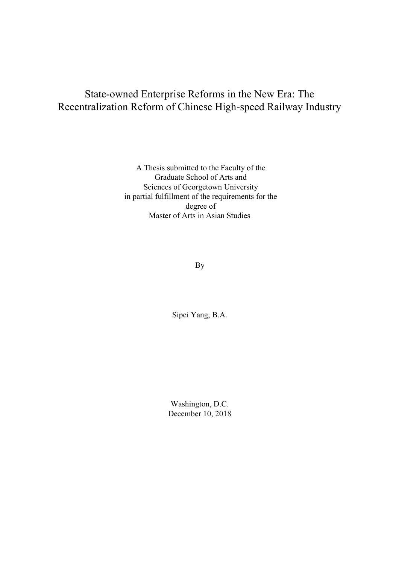# State-owned Enterprise Reforms in the New Era: The Recentralization Reform of Chinese High-speed Railway Industry

A Thesis submitted to the Faculty of the Graduate School of Arts and Sciences of Georgetown University in partial fulfillment of the requirements for the degree of Master of Arts in Asian Studies

By

Sipei Yang, B.A.

Washington, D.C. December 10, 2018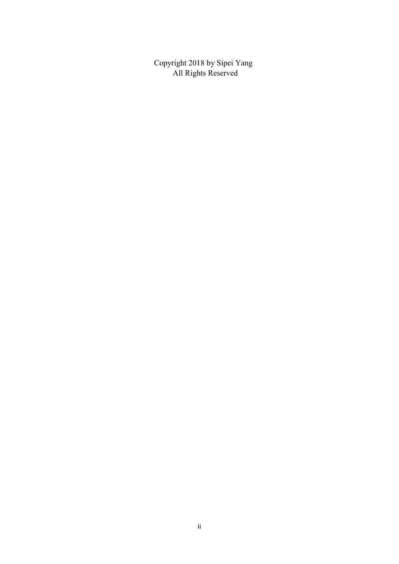Copyright 2018 by Sipei Yang All Rights Reserved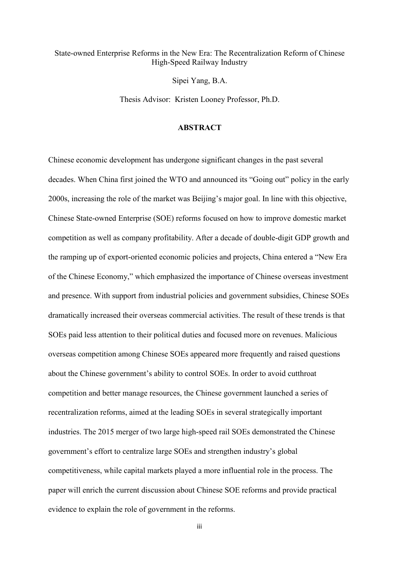#### State-owned Enterprise Reforms in the New Era: The Recentralization Reform of Chinese High-Speed Railway Industry

Sipei Yang, B.A.

Thesis Advisor: Kristen Looney Professor, Ph.D.

#### **ABSTRACT**

Chinese economic development has undergone significant changes in the past several decades. When China first joined the WTO and announced its "Going out" policy in the early 2000s, increasing the role of the market was Beijing's major goal. In line with this objective, Chinese State-owned Enterprise (SOE) reforms focused on how to improve domestic market competition as well as company profitability. After a decade of double-digit GDP growth and the ramping up of export-oriented economic policies and projects, China entered a "New Era of the Chinese Economy," which emphasized the importance of Chinese overseas investment and presence. With support from industrial policies and government subsidies, Chinese SOEs dramatically increased their overseas commercial activities. The result of these trends is that SOEs paid less attention to their political duties and focused more on revenues. Malicious overseas competition among Chinese SOEs appeared more frequently and raised questions about the Chinese government's ability to control SOEs. In order to avoid cutthroat competition and better manage resources, the Chinese government launched a series of recentralization reforms, aimed at the leading SOEs in several strategically important industries. The 2015 merger of two large high-speed rail SOEs demonstrated the Chinese government's effort to centralize large SOEs and strengthen industry's global competitiveness, while capital markets played a more influential role in the process. The paper will enrich the current discussion about Chinese SOE reforms and provide practical evidence to explain the role of government in the reforms.

iii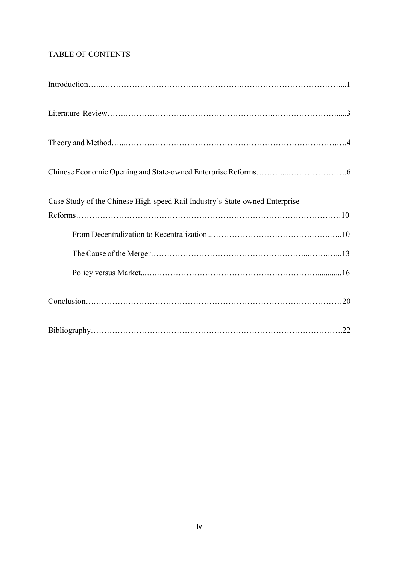# TABLE OF CONTENTS

| Case Study of the Chinese High-speed Rail Industry's State-owned Enterprise |
|-----------------------------------------------------------------------------|
|                                                                             |
|                                                                             |
|                                                                             |
|                                                                             |
|                                                                             |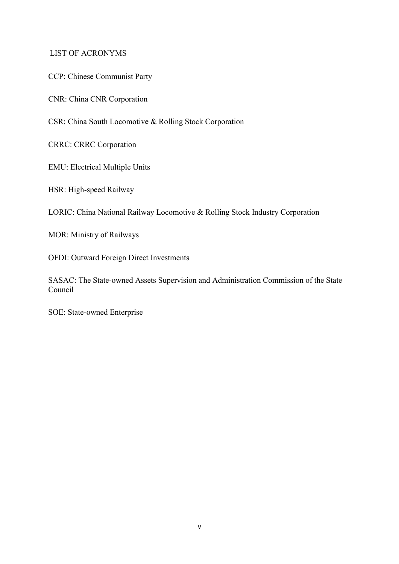#### LIST OF ACRONYMS

CCP: Chinese Communist Party

CNR: China CNR Corporation

CSR: China South Locomotive & Rolling Stock Corporation

CRRC: CRRC Corporation

EMU: Electrical Multiple Units

HSR: High-speed Railway

LORIC: China National Railway Locomotive & Rolling Stock Industry Corporation

MOR: Ministry of Railways

OFDI: Outward Foreign Direct Investments

SASAC: The State-owned Assets Supervision and Administration Commission of the State Council

SOE: State-owned Enterprise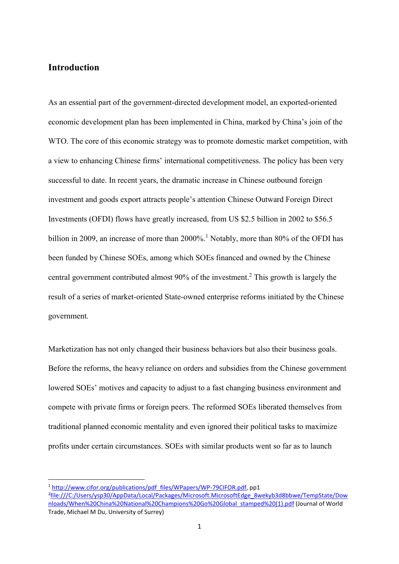#### **Introduction**

1

As an essential part of the government-directed development model, an exported-oriented economic development plan has been implemented in China, marked by China's join of the WTO. The core of this economic strategy was to promote domestic market competition, with a view to enhancing Chinese firms' international competitiveness. The policy has been very successful to date. In recent years, the dramatic increase in Chinese outbound foreign investment and goods export attracts people's attention Chinese Outward Foreign Direct Investments (OFDI) flows have greatly increased, from US \$2.5 billion in 2002 to \$56.5 billion in 2009, an increase of more than  $2000\%$ .<sup>1</sup> Notably, more than 80% of the OFDI has been funded by Chinese SOEs, among which SOEs financed and owned by the Chinese central government contributed almost 90% of the investment. <sup>2</sup> This growth is largely the result of a series of market-oriented State-owned enterprise reforms initiated by the Chinese government.

Marketization has not only changed their business behaviors but also their business goals. Before the reforms, the heavy reliance on orders and subsidies from the Chinese government lowered SOEs' motives and capacity to adjust to a fast changing business environment and compete with private firms or foreign peers. The reformed SOEs liberated themselves from traditional planned economic mentality and even ignored their political tasks to maximize profits under certain circumstances. SOEs with similar products went so far as to launch

<sup>&</sup>lt;sup>1</sup> [http://www.cifor.org/publications/pdf\\_files/WPapers/WP-79CIFOR.pdf,](http://www.cifor.org/publications/pdf_files/WPapers/WP-79CIFOR.pdf) pp1

<sup>2</sup> [file:///C:/Users/ysp30/AppData/Local/Packages/Microsoft.MicrosoftEdge\\_8wekyb3d8bbwe/TempState/Dow](file:///C:/Users/ysp30/AppData/Local/Packages/Microsoft.MicrosoftEdge_8wekyb3d8bbwe/TempState/Downloads/When%20China%20National%20Champions%20Go%20Global_stamped%20(1).pdf) [nloads/When%20China%20National%20Champions%20Go%20Global\\_stamped%20\(1\).pdf](file:///C:/Users/ysp30/AppData/Local/Packages/Microsoft.MicrosoftEdge_8wekyb3d8bbwe/TempState/Downloads/When%20China%20National%20Champions%20Go%20Global_stamped%20(1).pdf) (Journal of World Trade, Michael M Du, University of Surrey)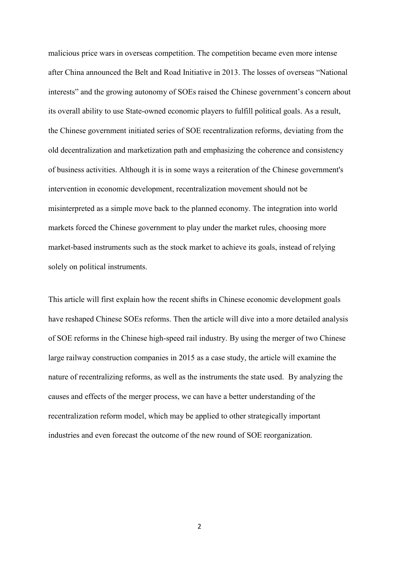malicious price wars in overseas competition. The competition became even more intense after China announced the Belt and Road Initiative in 2013. The losses of overseas "National interests" and the growing autonomy of SOEs raised the Chinese government's concern about its overall ability to use State-owned economic players to fulfill political goals. As a result, the Chinese government initiated series of SOE recentralization reforms, deviating from the old decentralization and marketization path and emphasizing the coherence and consistency of business activities. Although it is in some ways a reiteration of the Chinese government's intervention in economic development, recentralization movement should not be misinterpreted as a simple move back to the planned economy. The integration into world markets forced the Chinese government to play under the market rules, choosing more market-based instruments such as the stock market to achieve its goals, instead of relying solely on political instruments.

This article will first explain how the recent shifts in Chinese economic development goals have reshaped Chinese SOEs reforms. Then the article will dive into a more detailed analysis of SOE reforms in the Chinese high-speed rail industry. By using the merger of two Chinese large railway construction companies in 2015 as a case study, the article will examine the nature of recentralizing reforms, as well as the instruments the state used. By analyzing the causes and effects of the merger process, we can have a better understanding of the recentralization reform model, which may be applied to other strategically important industries and even forecast the outcome of the new round of SOE reorganization.

2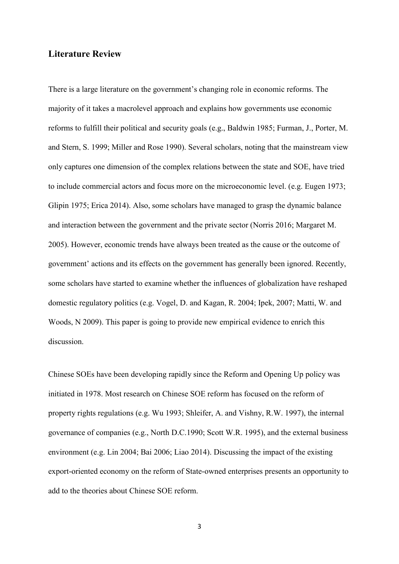#### **Literature Review**

There is a large literature on the government's changing role in economic reforms. The majority of it takes a macrolevel approach and explains how governments use economic reforms to fulfill their political and security goals (e.g., Baldwin 1985; Furman, J., Porter, M. and Stern, S. 1999; Miller and Rose 1990). Several scholars, noting that the mainstream view only captures one dimension of the complex relations between the state and SOE, have tried to include commercial actors and focus more on the microeconomic level. (e.g. Eugen 1973; Glipin 1975; Erica 2014). Also, some scholars have managed to grasp the dynamic balance and interaction between the government and the private sector (Norris 2016; Margaret M. 2005). However, economic trends have always been treated as the cause or the outcome of government' actions and its effects on the government has generally been ignored. Recently, some scholars have started to examine whether the influences of globalization have reshaped domestic regulatory politics (e.g. Vogel, D. and Kagan, R. 2004; Ipek, 2007; Matti, W. and Woods, N 2009). This paper is going to provide new empirical evidence to enrich this discussion.

Chinese SOEs have been developing rapidly since the Reform and Opening Up policy was initiated in 1978. Most research on Chinese SOE reform has focused on the reform of property rights regulations (e.g. Wu 1993; Shleifer, A. and Vishny, R.W. 1997), the internal governance of companies (e.g., North D.C.1990; Scott W.R. 1995), and the external business environment (e.g. Lin 2004; Bai 2006; Liao 2014). Discussing the impact of the existing export-oriented economy on the reform of State-owned enterprises presents an opportunity to add to the theories about Chinese SOE reform.

3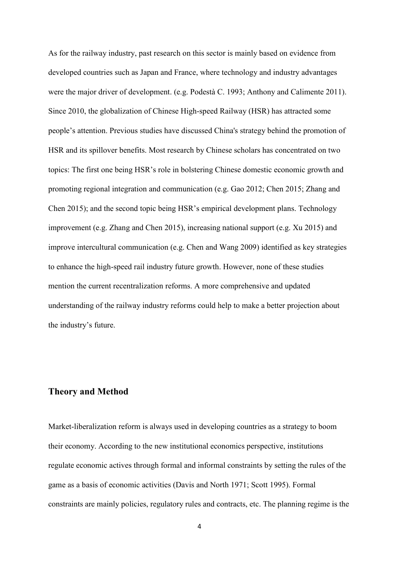As for the railway industry, past research on this sector is mainly based on evidence from developed countries such as Japan and France, where technology and industry advantages were the major driver of development. (e.g. Podestà C. 1993; Anthony and Calimente 2011). Since 2010, the globalization of Chinese High-speed Railway (HSR) has attracted some people's attention. Previous studies have discussed China's strategy behind the promotion of HSR and its spillover benefits. Most research by Chinese scholars has concentrated on two topics: The first one being HSR's role in bolstering Chinese domestic economic growth and promoting regional integration and communication (e.g. Gao 2012; Chen 2015; Zhang and Chen 2015); and the second topic being HSR's empirical development plans. Technology improvement (e.g. Zhang and Chen 2015), increasing national support (e.g. Xu 2015) and improve intercultural communication (e.g. Chen and Wang 2009) identified as key strategies to enhance the high-speed rail industry future growth. However, none of these studies mention the current recentralization reforms. A more comprehensive and updated understanding of the railway industry reforms could help to make a better projection about the industry's future.

#### **Theory and Method**

Market-liberalization reform is always used in developing countries as a strategy to boom their economy. According to the new institutional economics perspective, institutions regulate economic actives through formal and informal constraints by setting the rules of the game as a basis of economic activities (Davis and North 1971; Scott 1995). Formal constraints are mainly policies, regulatory rules and contracts, etc. The planning regime is the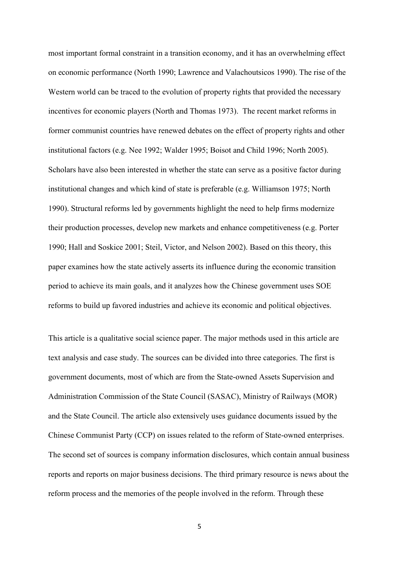most important formal constraint in a transition economy, and it has an overwhelming effect on economic performance (North 1990; Lawrence and Valachoutsicos 1990). The rise of the Western world can be traced to the evolution of property rights that provided the necessary incentives for economic players (North and Thomas 1973). The recent market reforms in former communist countries have renewed debates on the effect of property rights and other institutional factors (e.g. Nee 1992; Walder 1995; Boisot and Child 1996; North 2005). Scholars have also been interested in whether the state can serve as a positive factor during institutional changes and which kind of state is preferable (e.g. Williamson 1975; North 1990). Structural reforms led by governments highlight the need to help firms modernize their production processes, develop new markets and enhance competitiveness (e.g. Porter 1990; Hall and Soskice 2001; Steil, Victor, and Nelson 2002). Based on this theory, this paper examines how the state actively asserts its influence during the economic transition period to achieve its main goals, and it analyzes how the Chinese government uses SOE reforms to build up favored industries and achieve its economic and political objectives.

This article is a qualitative social science paper. The major methods used in this article are text analysis and case study. The sources can be divided into three categories. The first is government documents, most of which are from the State-owned Assets Supervision and Administration Commission of the State Council (SASAC), Ministry of Railways (MOR) and the State Council. The article also extensively uses guidance documents issued by the Chinese Communist Party (CCP) on issues related to the reform of State-owned enterprises. The second set of sources is company information disclosures, which contain annual business reports and reports on major business decisions. The third primary resource is news about the reform process and the memories of the people involved in the reform. Through these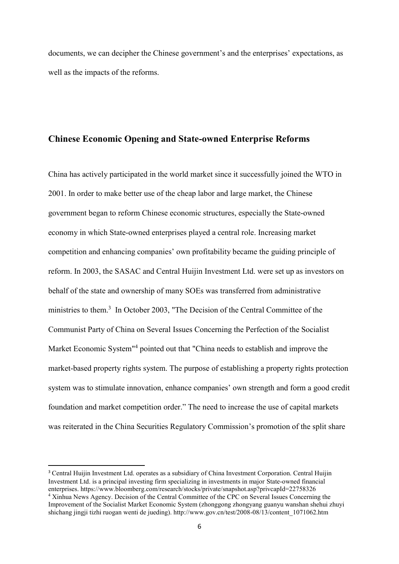documents, we can decipher the Chinese government's and the enterprises' expectations, as well as the impacts of the reforms.

#### **Chinese Economic Opening and State-owned Enterprise Reforms**

China has actively participated in the world market since it successfully joined the WTO in 2001. In order to make better use of the cheap labor and large market, the Chinese government began to reform Chinese economic structures, especially the State-owned economy in which State-owned enterprises played a central role. Increasing market competition and enhancing companies' own profitability became the guiding principle of reform. In 2003, the SASAC and Central Huijin Investment Ltd. were set up as investors on behalf of the state and ownership of many SOEs was transferred from administrative ministries to them.<sup>3</sup> In October 2003, "The Decision of the Central Committee of the Communist Party of China on Several Issues Concerning the Perfection of the Socialist Market Economic System<sup>14</sup> pointed out that "China needs to establish and improve the market-based property rights system. The purpose of establishing a property rights protection system was to stimulate innovation, enhance companies' own strength and form a good credit foundation and market competition order." The need to increase the use of capital markets was reiterated in the China Securities Regulatory Commission's promotion of the split share

**.** 

<sup>&</sup>lt;sup>3</sup> Central Huijin Investment Ltd. operates as a subsidiary of China Investment Corporation. Central Huijin Investment Ltd. is a principal investing firm specializing in investments in major State-owned financial enterprises. https://www.bloomberg.com/research/stocks/private/snapshot.asp?privcapId=22758326 <sup>4</sup> Xinhua News Agency. Decision of the Central Committee of the CPC on Several Issues Concerning the Improvement of the Socialist Market Economic System (zhonggong zhongyang guanyu wanshan shehui zhuyi shichang jingji tizhi ruogan wenti de jueding). http://www.gov.cn/test/2008-08/13/content\_1071062.htm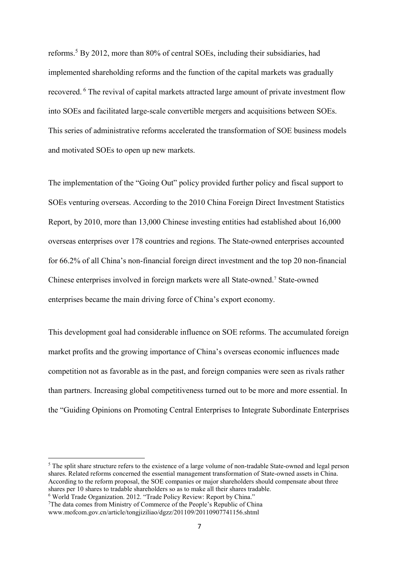reforms. <sup>5</sup> By 2012, more than 80% of central SOEs, including their subsidiaries, had implemented shareholding reforms and the function of the capital markets was gradually recovered. <sup>6</sup> The revival of capital markets attracted large amount of private investment flow into SOEs and facilitated large-scale convertible mergers and acquisitions between SOEs. This series of administrative reforms accelerated the transformation of SOE business models and motivated SOEs to open up new markets.

The implementation of the "Going Out" policy provided further policy and fiscal support to SOEs venturing overseas. According to the 2010 China Foreign Direct Investment Statistics Report, by 2010, more than 13,000 Chinese investing entities had established about 16,000 overseas enterprises over 178 countries and regions. The State-owned enterprises accounted for 66.2% of all China's non-financial foreign direct investment and the top 20 non-financial Chinese enterprises involved in foreign markets were all State-owned. <sup>7</sup> State-owned enterprises became the main driving force of China's export economy.

This development goal had considerable influence on SOE reforms. The accumulated foreign market profits and the growing importance of China's overseas economic influences made competition not as favorable as in the past, and foreign companies were seen as rivals rather than partners. Increasing global competitiveness turned out to be more and more essential. In the "Guiding Opinions on Promoting Central Enterprises to Integrate Subordinate Enterprises

**.** 

<sup>&</sup>lt;sup>5</sup> The split share structure refers to the existence of a large volume of non-tradable State-owned and legal person shares. Related reforms concerned the essential management transformation of State-owned assets in China. According to the reform proposal, the SOE companies or major shareholders should compensate about three shares per 10 shares to tradable shareholders so as to make all their shares tradable.

<sup>6</sup> World Trade Organization. 2012. "Trade Policy Review: Report by China."

<sup>&</sup>lt;sup>7</sup>The data comes from Ministry of Commerce of the People's Republic of China www.mofcom.gov.cn/article/tongjiziliao/dgzz/201109/20110907741156.shtml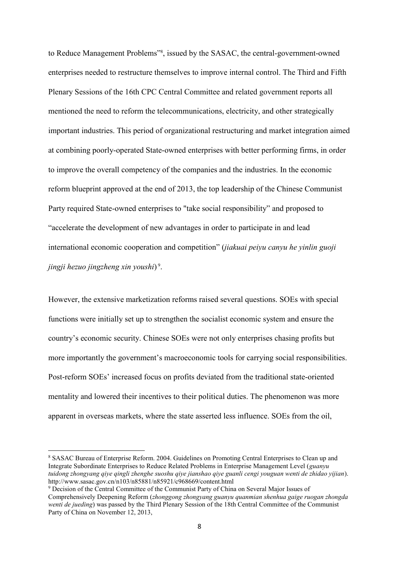to Reduce Management Problems"<sup>8</sup>, issued by the SASAC, the central-government-owned enterprises needed to restructure themselves to improve internal control. The Third and Fifth Plenary Sessions of the 16th CPC Central Committee and related government reports all mentioned the need to reform the telecommunications, electricity, and other strategically important industries. This period of organizational restructuring and market integration aimed at combining poorly-operated State-owned enterprises with better performing firms, in order to improve the overall competency of the companies and the industries. In the economic reform blueprint approved at the end of 2013, the top leadership of the Chinese Communist Party required State-owned enterprises to "take social responsibility" and proposed to "accelerate the development of new advantages in order to participate in and lead international economic cooperation and competition" (*jiakuai peiyu canyu he yinlin guoji jingji hezuo jingzheng xin youshi*) 9 .

However, the extensive marketization reforms raised several questions. SOEs with special functions were initially set up to strengthen the socialist economic system and ensure the country's economic security. Chinese SOEs were not only enterprises chasing profits but more importantly the government's macroeconomic tools for carrying social responsibilities. Post-reform SOEs' increased focus on profits deviated from the traditional state-oriented mentality and lowered their incentives to their political duties. The phenomenon was more apparent in overseas markets, where the state asserted less influence. SOEs from the oil,

1

<sup>8</sup> SASAC Bureau of Enterprise Reform. 2004. Guidelines on Promoting Central Enterprises to Clean up and Integrate Subordinate Enterprises to Reduce Related Problems in Enterprise Management Level (*guanyu tuidong zhongyang qiye qingli zhenghe suoshu qiye jianshao qiye guanli cengi youguan wenti de zhidao yijian*). http://www.sasac.gov.cn/n103/n85881/n85921/c968669/content.html

<sup>9</sup> Decision of the Central Committee of the Communist Party of China on Several Major Issues of Comprehensively Deepening Reform (*zhonggong zhongyang guanyu quanmian shenhua gaige ruogan zhongda wenti de jueding*) was passed by the Third Plenary Session of the 18th Central Committee of the Communist Party of China on November 12, 2013,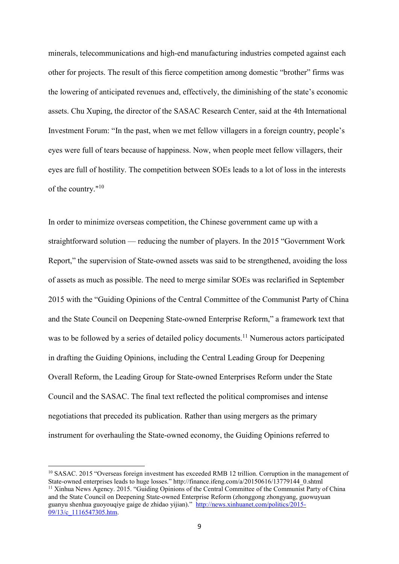minerals, telecommunications and high-end manufacturing industries competed against each other for projects. The result of this fierce competition among domestic "brother" firms was the lowering of anticipated revenues and, effectively, the diminishing of the state's economic assets. Chu Xuping, the director of the SASAC Research Center, said at the 4th International Investment Forum: "In the past, when we met fellow villagers in a foreign country, people's eyes were full of tears because of happiness. Now, when people meet fellow villagers, their eyes are full of hostility. The competition between SOEs leads to a lot of loss in the interests of the country."<sup>10</sup>

In order to minimize overseas competition, the Chinese government came up with a straightforward solution — reducing the number of players. In the 2015 "Government Work Report," the supervision of State-owned assets was said to be strengthened, avoiding the loss of assets as much as possible. The need to merge similar SOEs was reclarified in September 2015 with the "Guiding Opinions of the Central Committee of the Communist Party of China and the State Council on Deepening State-owned Enterprise Reform," a framework text that was to be followed by a series of detailed policy documents.<sup>11</sup> Numerous actors participated in drafting the Guiding Opinions, including the Central Leading Group for Deepening Overall Reform, the Leading Group for State-owned Enterprises Reform under the State Council and the SASAC. The final text reflected the political compromises and intense negotiations that preceded its publication. Rather than using mergers as the primary instrument for overhauling the State-owned economy, the Guiding Opinions referred to

**.** 

<sup>&</sup>lt;sup>10</sup> SASAC. 2015 "Overseas foreign investment has exceeded RMB 12 trillion. Corruption in the management of State-owned enterprises leads to huge losses." http://finance.ifeng.com/a/20150616/13779144\_0.shtml <sup>11</sup> Xinhua News Agency. 2015. "Guiding Opinions of the Central Committee of the Communist Party of China and the State Council on Deepening State-owned Enterprise Reform (zhonggong zhongyang, guowuyuan guanyu shenhua guoyouqiye gaige de zhidao yijian)." [http://news.xinhuanet.com/politics/2015-](http://news.xinhuanet.com/politics/2015-09/13/c_1116547305.htm) 09/13/c 1116547305.htm.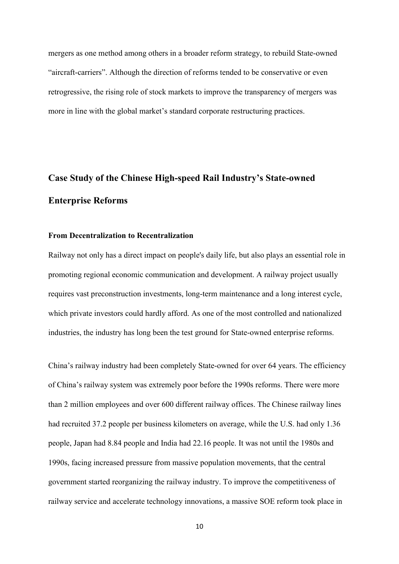mergers as one method among others in a broader reform strategy, to rebuild State-owned "aircraft-carriers". Although the direction of reforms tended to be conservative or even retrogressive, the rising role of stock markets to improve the transparency of mergers was more in line with the global market's standard corporate restructuring practices.

# **Case Study of the Chinese High-speed Rail Industry's State-owned Enterprise Reforms**

#### **From Decentralization to Recentralization**

Railway not only has a direct impact on people's daily life, but also plays an essential role in promoting regional economic communication and development. A railway project usually requires vast preconstruction investments, long-term maintenance and a long interest cycle, which private investors could hardly afford. As one of the most controlled and nationalized industries, the industry has long been the test ground for State-owned enterprise reforms.

China's railway industry had been completely State-owned for over 64 years. The efficiency of China's railway system was extremely poor before the 1990s reforms. There were more than 2 million employees and over 600 different railway offices. The Chinese railway lines had recruited 37.2 people per business kilometers on average, while the U.S. had only 1.36 people, Japan had 8.84 people and India had 22.16 people. It was not until the 1980s and 1990s, facing increased pressure from massive population movements, that the central government started reorganizing the railway industry. To improve the competitiveness of railway service and accelerate technology innovations, a massive SOE reform took place in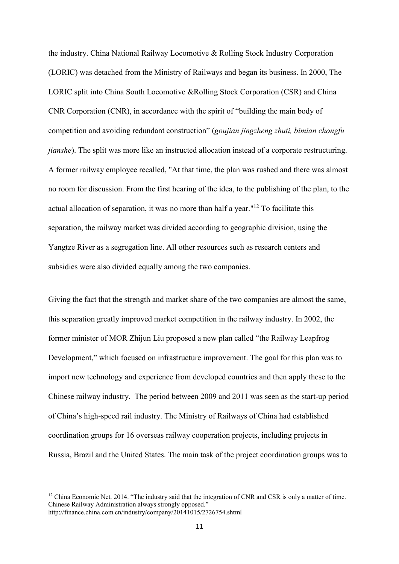the industry. China National Railway Locomotive & Rolling Stock Industry Corporation (LORIC) was detached from the Ministry of Railways and began its business. In 2000, The LORIC split into China South Locomotive &Rolling Stock Corporation (CSR) and China CNR Corporation (CNR), in accordance with the spirit of "building the main body of competition and avoiding redundant construction" (*goujian jingzheng zhuti, bimian chongfu jianshe*). The split was more like an instructed allocation instead of a corporate restructuring. A former railway employee recalled, "At that time, the plan was rushed and there was almost no room for discussion. From the first hearing of the idea, to the publishing of the plan, to the actual allocation of separation, it was no more than half a year."<sup>12</sup> To facilitate this separation, the railway market was divided according to geographic division, using the Yangtze River as a segregation line. All other resources such as research centers and subsidies were also divided equally among the two companies.

Giving the fact that the strength and market share of the two companies are almost the same, this separation greatly improved market competition in the railway industry. In 2002, the former minister of MOR Zhijun Liu proposed a new plan called "the Railway Leapfrog Development," which focused on infrastructure improvement. The goal for this plan was to import new technology and experience from developed countries and then apply these to the Chinese railway industry. The period between 2009 and 2011 was seen as the start-up period of China's high-speed rail industry. The Ministry of Railways of China had established coordination groups for 16 overseas railway cooperation projects, including projects in Russia, Brazil and the United States. The main task of the project coordination groups was to

 $\overline{a}$ 

<sup>&</sup>lt;sup>12</sup> China Economic Net. 2014. "The industry said that the integration of CNR and CSR is only a matter of time. Chinese Railway Administration always strongly opposed." http://finance.china.com.cn/industry/company/20141015/2726754.shtml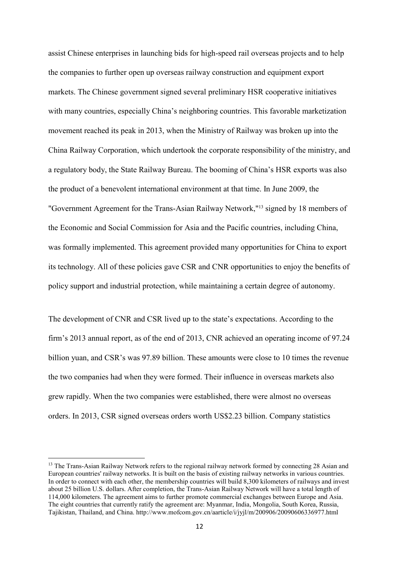assist Chinese enterprises in launching bids for high-speed rail overseas projects and to help the companies to further open up overseas railway construction and equipment export markets. The Chinese government signed several preliminary HSR cooperative initiatives with many countries, especially China's neighboring countries. This favorable marketization movement reached its peak in 2013, when the Ministry of Railway was broken up into the China Railway Corporation, which undertook the corporate responsibility of the ministry, and a regulatory body, the State Railway Bureau. The booming of China's HSR exports was also the product of a benevolent international environment at that time. In June 2009, the "Government Agreement for the Trans-Asian Railway Network," <sup>13</sup> signed by 18 members of the Economic and Social Commission for Asia and the Pacific countries, including China, was formally implemented. This agreement provided many opportunities for China to export its technology. All of these policies gave CSR and CNR opportunities to enjoy the benefits of policy support and industrial protection, while maintaining a certain degree of autonomy.

The development of CNR and CSR lived up to the state's expectations. According to the firm's 2013 annual report, as of the end of 2013, CNR achieved an operating income of 97.24 billion yuan, and CSR's was 97.89 billion. These amounts were close to 10 times the revenue the two companies had when they were formed. Their influence in overseas markets also grew rapidly. When the two companies were established, there were almost no overseas orders. In 2013, CSR signed overseas orders worth US\$2.23 billion. Company statistics

**.** 

<sup>&</sup>lt;sup>13</sup> The Trans-Asian Railway Network refers to the regional railway network formed by connecting 28 Asian and European countries' railway networks. It is built on the basis of existing railway networks in various countries. In order to connect with each other, the membership countries will build 8,300 kilometers of railways and invest about 25 billion U.S. dollars. After completion, the Trans-Asian Railway Network will have a total length of 114,000 kilometers. The agreement aims to further promote commercial exchanges between Europe and Asia. The eight countries that currently ratify the agreement are: Myanmar, India, Mongolia, South Korea, Russia, Tajikistan, Thailand, and China. http://www.mofcom.gov.cn/aarticle/i/jyjl/m/200906/20090606336977.html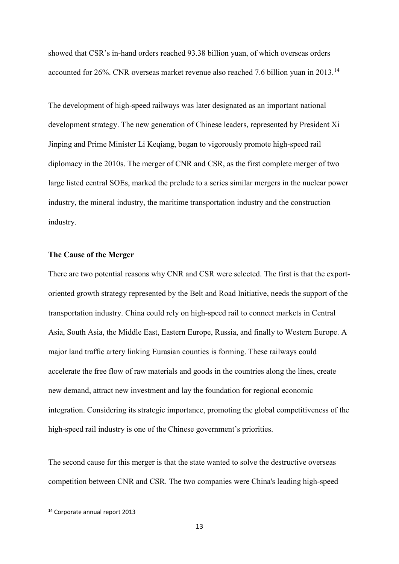showed that CSR's in-hand orders reached 93.38 billion yuan, of which overseas orders accounted for 26%. CNR overseas market revenue also reached 7.6 billion yuan in 2013.<sup>14</sup>

The development of high-speed railways was later designated as an important national development strategy. The new generation of Chinese leaders, represented by President Xi Jinping and Prime Minister Li Keqiang, began to vigorously promote high-speed rail diplomacy in the 2010s. The merger of CNR and CSR, as the first complete merger of two large listed central SOEs, marked the prelude to a series similar mergers in the nuclear power industry, the mineral industry, the maritime transportation industry and the construction industry.

#### **The Cause of the Merger**

There are two potential reasons why CNR and CSR were selected. The first is that the exportoriented growth strategy represented by the Belt and Road Initiative, needs the support of the transportation industry. China could rely on high-speed rail to connect markets in Central Asia, South Asia, the Middle East, Eastern Europe, Russia, and finally to Western Europe. A major land traffic artery linking Eurasian counties is forming. These railways could accelerate the free flow of raw materials and goods in the countries along the lines, create new demand, attract new investment and lay the foundation for regional economic integration. Considering its strategic importance, promoting the global competitiveness of the high-speed rail industry is one of the Chinese government's priorities.

The second cause for this merger is that the state wanted to solve the destructive overseas competition between CNR and CSR. The two companies were China's leading high-speed

**.** 

<sup>14</sup> Corporate annual report 2013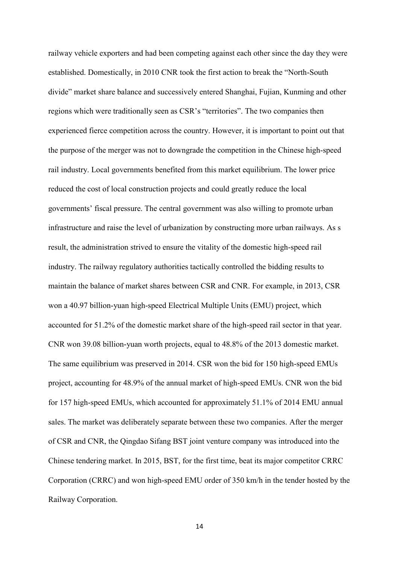railway vehicle exporters and had been competing against each other since the day they were established. Domestically, in 2010 CNR took the first action to break the "North-South divide" market share balance and successively entered Shanghai, Fujian, Kunming and other regions which were traditionally seen as CSR's "territories". The two companies then experienced fierce competition across the country. However, it is important to point out that the purpose of the merger was not to downgrade the competition in the Chinese high-speed rail industry. Local governments benefited from this market equilibrium. The lower price reduced the cost of local construction projects and could greatly reduce the local governments' fiscal pressure. The central government was also willing to promote urban infrastructure and raise the level of urbanization by constructing more urban railways. As s result, the administration strived to ensure the vitality of the domestic high-speed rail industry. The railway regulatory authorities tactically controlled the bidding results to maintain the balance of market shares between CSR and CNR. For example, in 2013, CSR won a 40.97 billion-yuan high-speed Electrical Multiple Units (EMU) project, which accounted for 51.2% of the domestic market share of the high-speed rail sector in that year. CNR won 39.08 billion-yuan worth projects, equal to 48.8% of the 2013 domestic market. The same equilibrium was preserved in 2014. CSR won the bid for 150 high-speed EMUs project, accounting for 48.9% of the annual market of high-speed EMUs. CNR won the bid for 157 high-speed EMUs, which accounted for approximately 51.1% of 2014 EMU annual sales. The market was deliberately separate between these two companies. After the merger of CSR and CNR, the Qingdao Sifang BST joint venture company was introduced into the Chinese tendering market. In 2015, BST, for the first time, beat its major competitor CRRC Corporation (CRRC) and won high-speed EMU order of 350 km/h in the tender hosted by the Railway Corporation.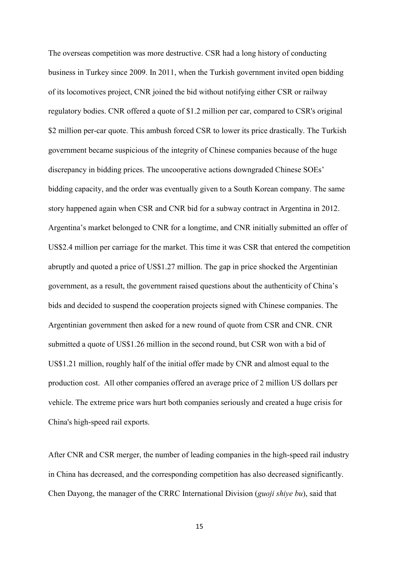The overseas competition was more destructive. CSR had a long history of conducting business in Turkey since 2009. In 2011, when the Turkish government invited open bidding of its locomotives project, CNR joined the bid without notifying either CSR or railway regulatory bodies. CNR offered a quote of \$1.2 million per car, compared to CSR's original \$2 million per-car quote. This ambush forced CSR to lower its price drastically. The Turkish government became suspicious of the integrity of Chinese companies because of the huge discrepancy in bidding prices. The uncooperative actions downgraded Chinese SOEs' bidding capacity, and the order was eventually given to a South Korean company. The same story happened again when CSR and CNR bid for a subway contract in Argentina in 2012. Argentina's market belonged to CNR for a longtime, and CNR initially submitted an offer of US\$2.4 million per carriage for the market. This time it was CSR that entered the competition abruptly and quoted a price of US\$1.27 million. The gap in price shocked the Argentinian government, as a result, the government raised questions about the authenticity of China's bids and decided to suspend the cooperation projects signed with Chinese companies. The Argentinian government then asked for a new round of quote from CSR and CNR. CNR submitted a quote of US\$1.26 million in the second round, but CSR won with a bid of US\$1.21 million, roughly half of the initial offer made by CNR and almost equal to the production cost. All other companies offered an average price of 2 million US dollars per vehicle. The extreme price wars hurt both companies seriously and created a huge crisis for China's high-speed rail exports.

After CNR and CSR merger, the number of leading companies in the high-speed rail industry in China has decreased, and the corresponding competition has also decreased significantly. Chen Dayong, the manager of the CRRC International Division (*guoji shiye bu*), said that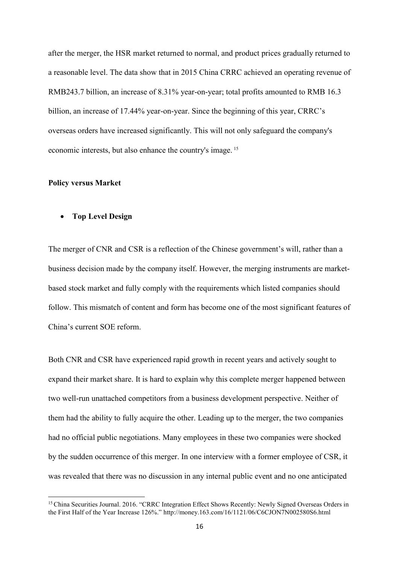after the merger, the HSR market returned to normal, and product prices gradually returned to a reasonable level. The data show that in 2015 China CRRC achieved an operating revenue of RMB243.7 billion, an increase of 8.31% year-on-year; total profits amounted to RMB 16.3 billion, an increase of 17.44% year-on-year. Since the beginning of this year, CRRC's overseas orders have increased significantly. This will not only safeguard the company's economic interests, but also enhance the country's image. <sup>15</sup>

#### **Policy versus Market**

1

• **Top Level Design** 

The merger of CNR and CSR is a reflection of the Chinese government's will, rather than a business decision made by the company itself. However, the merging instruments are marketbased stock market and fully comply with the requirements which listed companies should follow. This mismatch of content and form has become one of the most significant features of China's current SOE reform.

Both CNR and CSR have experienced rapid growth in recent years and actively sought to expand their market share. It is hard to explain why this complete merger happened between two well-run unattached competitors from a business development perspective. Neither of them had the ability to fully acquire the other. Leading up to the merger, the two companies had no official public negotiations. Many employees in these two companies were shocked by the sudden occurrence of this merger. In one interview with a former employee of CSR, it was revealed that there was no discussion in any internal public event and no one anticipated

<sup>&</sup>lt;sup>15</sup> China Securities Journal. 2016. "CRRC Integration Effect Shows Recently: Newly Signed Overseas Orders in the First Half of the Year Increase 126%." http://money.163.com/16/1121/06/C6CJON7N002580S6.html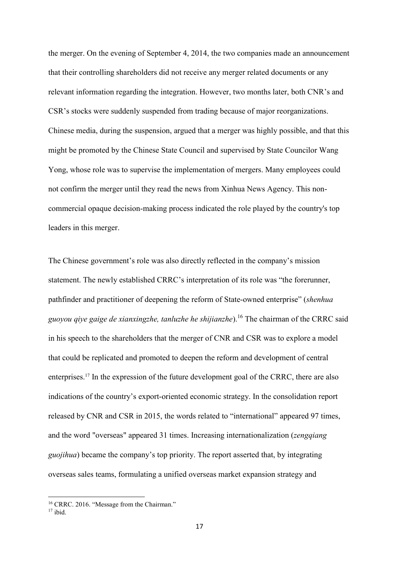the merger. On the evening of September 4, 2014, the two companies made an announcement that their controlling shareholders did not receive any merger related documents or any relevant information regarding the integration. However, two months later, both CNR's and CSR's stocks were suddenly suspended from trading because of major reorganizations. Chinese media, during the suspension, argued that a merger was highly possible, and that this might be promoted by the Chinese State Council and supervised by State Councilor Wang Yong, whose role was to supervise the implementation of mergers. Many employees could not confirm the merger until they read the news from Xinhua News Agency. This noncommercial opaque decision-making process indicated the role played by the country's top leaders in this merger.

The Chinese government's role was also directly reflected in the company's mission statement. The newly established CRRC's interpretation of its role was "the forerunner, pathfinder and practitioner of deepening the reform of State-owned enterprise" (*shenhua guoyou qiye gaige de xianxingzhe, tanluzhe he shijianzhe*). <sup>16</sup> The chairman of the CRRC said in his speech to the shareholders that the merger of CNR and CSR was to explore a model that could be replicated and promoted to deepen the reform and development of central enterprises. <sup>17</sup> In the expression of the future development goal of the CRRC, there are also indications of the country's export-oriented economic strategy. In the consolidation report released by CNR and CSR in 2015, the words related to "international" appeared 97 times, and the word "overseas" appeared 31 times. Increasing internationalization (*zengqiang guojihua*) became the company's top priority. The report asserted that, by integrating overseas sales teams, formulating a unified overseas market expansion strategy and

1

<sup>&</sup>lt;sup>16</sup> CRRC. 2016. "Message from the Chairman."

 $17$  ibid.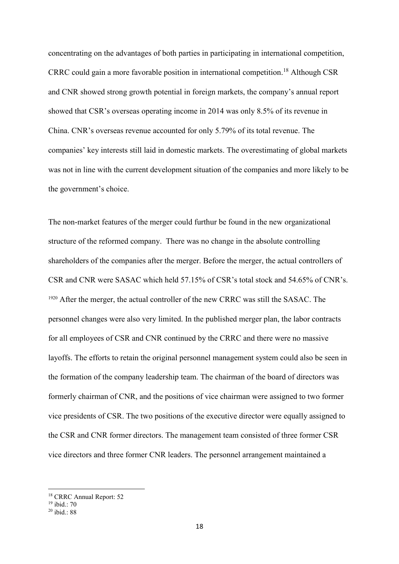concentrating on the advantages of both parties in participating in international competition, CRRC could gain a more favorable position in international competition. <sup>18</sup> Although CSR and CNR showed strong growth potential in foreign markets, the company's annual report showed that CSR's overseas operating income in 2014 was only 8.5% of its revenue in China. CNR's overseas revenue accounted for only 5.79% of its total revenue. The companies' key interests still laid in domestic markets. The overestimating of global markets was not in line with the current development situation of the companies and more likely to be the government's choice.

The non-market features of the merger could furthur be found in the new organizational structure of the reformed company. There was no change in the absolute controlling shareholders of the companies after the merger. Before the merger, the actual controllers of CSR and CNR were SASAC which held 57.15% of CSR's total stock and 54.65% of CNR's. <sup>1920</sup> After the merger, the actual controller of the new CRRC was still the SASAC. The personnel changes were also very limited. In the published merger plan, the labor contracts for all employees of CSR and CNR continued by the CRRC and there were no massive layoffs. The efforts to retain the original personnel management system could also be seen in the formation of the company leadership team. The chairman of the board of directors was formerly chairman of CNR, and the positions of vice chairman were assigned to two former vice presidents of CSR. The two positions of the executive director were equally assigned to the CSR and CNR former directors. The management team consisted of three former CSR vice directors and three former CNR leaders. The personnel arrangement maintained a

 $\overline{a}$ 

<sup>18</sup> CRRC Annual Report: 52

<sup>19</sup> ibid.: 70

 $20$  ibid  $\cdot$  88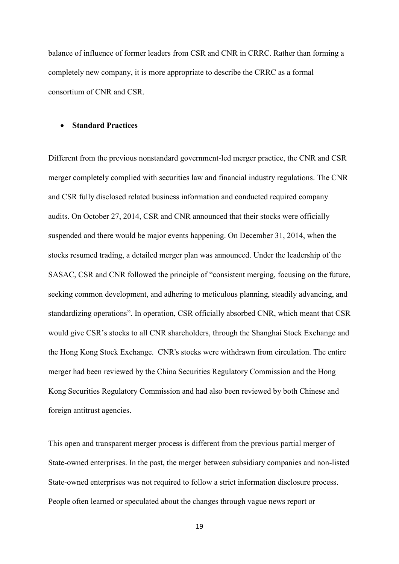balance of influence of former leaders from CSR and CNR in CRRC. Rather than forming a completely new company, it is more appropriate to describe the CRRC as a formal consortium of CNR and CSR.

#### • **Standard Practices**

Different from the previous nonstandard government-led merger practice, the CNR and CSR merger completely complied with securities law and financial industry regulations. The CNR and CSR fully disclosed related business information and conducted required company audits. On October 27, 2014, CSR and CNR announced that their stocks were officially suspended and there would be major events happening. On December 31, 2014, when the stocks resumed trading, a detailed merger plan was announced. Under the leadership of the SASAC, CSR and CNR followed the principle of "consistent merging, focusing on the future, seeking common development, and adhering to meticulous planning, steadily advancing, and standardizing operations". In operation, CSR officially absorbed CNR, which meant that CSR would give CSR's stocks to all CNR shareholders, through the Shanghai Stock Exchange and the Hong Kong Stock Exchange. CNR's stocks were withdrawn from circulation. The entire merger had been reviewed by the China Securities Regulatory Commission and the Hong Kong Securities Regulatory Commission and had also been reviewed by both Chinese and foreign antitrust agencies.

This open and transparent merger process is different from the previous partial merger of State-owned enterprises. In the past, the merger between subsidiary companies and non-listed State-owned enterprises was not required to follow a strict information disclosure process. People often learned or speculated about the changes through vague news report or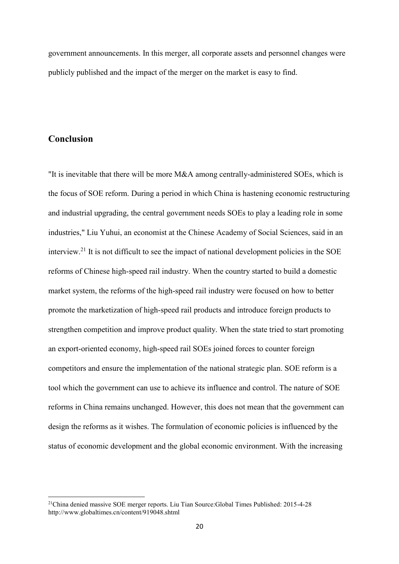government announcements. In this merger, all corporate assets and personnel changes were publicly published and the impact of the merger on the market is easy to find.

### **Conclusion**

1

"It is inevitable that there will be more M&A among centrally-administered SOEs, which is the focus of SOE reform. During a period in which China is hastening economic restructuring and industrial upgrading, the central government needs SOEs to play a leading role in some industries," Liu Yuhui, an economist at the Chinese Academy of Social Sciences, said in an interview. <sup>21</sup> It is not difficult to see the impact of national development policies in the SOE reforms of Chinese high-speed rail industry. When the country started to build a domestic market system, the reforms of the high-speed rail industry were focused on how to better promote the marketization of high-speed rail products and introduce foreign products to strengthen competition and improve product quality. When the state tried to start promoting an export-oriented economy, high-speed rail SOEs joined forces to counter foreign competitors and ensure the implementation of the national strategic plan. SOE reform is a tool which the government can use to achieve its influence and control. The nature of SOE reforms in China remains unchanged. However, this does not mean that the government can design the reforms as it wishes. The formulation of economic policies is influenced by the status of economic development and the global economic environment. With the increasing

<sup>21</sup>China denied massive SOE merger reports. Liu Tian Source:Global Times Published: 2015-4-28 http://www.globaltimes.cn/content/919048.shtml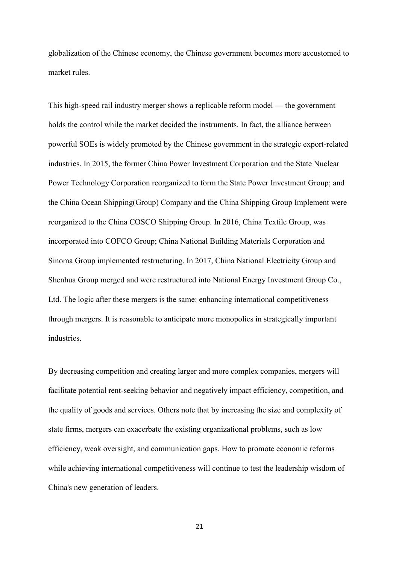globalization of the Chinese economy, the Chinese government becomes more accustomed to market rules.

This high-speed rail industry merger shows a replicable reform model — the government holds the control while the market decided the instruments. In fact, the alliance between powerful SOEs is widely promoted by the Chinese government in the strategic export-related industries. In 2015, the former China Power Investment Corporation and the State Nuclear Power Technology Corporation reorganized to form the State Power Investment Group; and the China Ocean Shipping(Group) Company and the China Shipping Group Implement were reorganized to the China COSCO Shipping Group. In 2016, China Textile Group, was incorporated into COFCO Group; China National Building Materials Corporation and Sinoma Group implemented restructuring. In 2017, China National Electricity Group and Shenhua Group merged and were restructured into National Energy Investment Group Co., Ltd. The logic after these mergers is the same: enhancing international competitiveness through mergers. It is reasonable to anticipate more monopolies in strategically important industries.

By decreasing competition and creating larger and more complex companies, mergers will facilitate potential rent-seeking behavior and negatively impact efficiency, competition, and the quality of goods and services. Others note that by increasing the size and complexity of state firms, mergers can exacerbate the existing organizational problems, such as low efficiency, weak oversight, and communication gaps. How to promote economic reforms while achieving international competitiveness will continue to test the leadership wisdom of China's new generation of leaders.

21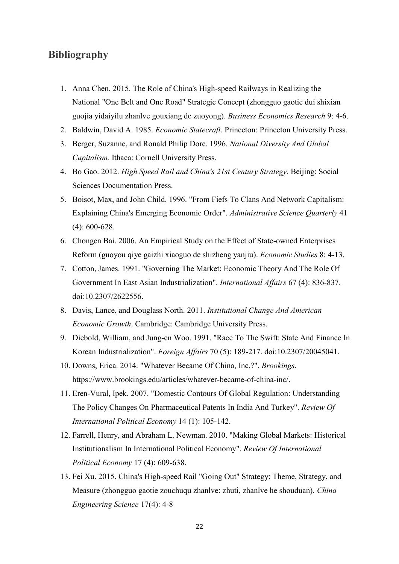## **Bibliography**

- 1. Anna Chen. 2015. The Role of China's High-speed Railways in Realizing the National "One Belt and One Road" Strategic Concept (zhongguo gaotie dui shixian guojia yidaiyilu zhanlve gouxiang de zuoyong). *Business Economics Research* 9: 4-6.
- 2. Baldwin, David A. 1985. *Economic Statecraft*. Princeton: Princeton University Press.
- 3. Berger, Suzanne, and Ronald Philip Dore. 1996. *National Diversity And Global Capitalism*. Ithaca: Cornell University Press.
- 4. Bo Gao. 2012. *High Speed Rail and China's 21st Century Strategy*. Beijing: Social Sciences Documentation Press.
- 5. Boisot, Max, and John Child. 1996. "From Fiefs To Clans And Network Capitalism: Explaining China's Emerging Economic Order". *Administrative Science Quarterly* 41 (4): 600-628.
- 6. Chongen Bai. 2006. An Empirical Study on the Effect of State-owned Enterprises Reform (guoyou qiye gaizhi xiaoguo de shizheng yanjiu). *Economic Studies* 8: 4-13.
- 7. Cotton, James. 1991. "Governing The Market: Economic Theory And The Role Of Government In East Asian Industrialization". *International Affairs* 67 (4): 836-837. doi:10.2307/2622556.
- 8. Davis, Lance, and Douglass North. 2011. *Institutional Change And American Economic Growth*. Cambridge: Cambridge University Press.
- 9. Diebold, William, and Jung-en Woo. 1991. "Race To The Swift: State And Finance In Korean Industrialization". *Foreign Affairs* 70 (5): 189-217. doi:10.2307/20045041.
- 10. Downs, Erica. 2014. "Whatever Became Of China, Inc.?". *Brookings*. https://www.brookings.edu/articles/whatever-became-of-china-inc/.
- 11. Eren-Vural, Ipek. 2007. "Domestic Contours Of Global Regulation: Understanding The Policy Changes On Pharmaceutical Patents In India And Turkey". *Review Of International Political Economy* 14 (1): 105-142.
- 12. Farrell, Henry, and Abraham L. Newman. 2010. "Making Global Markets: Historical Institutionalism In International Political Economy". *Review Of International Political Economy* 17 (4): 609-638.
- 13. Fei Xu. 2015. China's High-speed Rail "Going Out" Strategy: Theme, Strategy, and Measure (zhongguo gaotie zouchuqu zhanlve: zhuti, zhanlve he shouduan). *China Engineering Science* 17(4): 4-8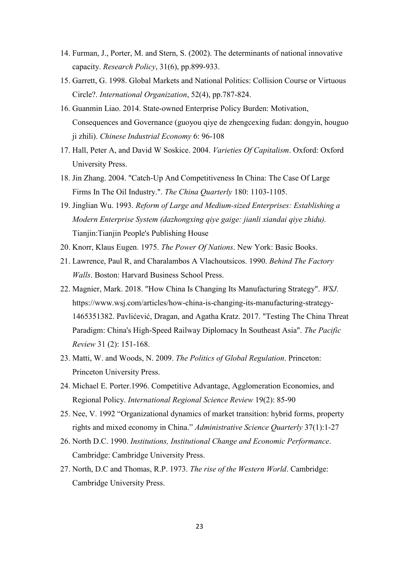- 14. Furman, J., Porter, M. and Stern, S. (2002). The determinants of national innovative capacity. *Research Policy*, 31(6), pp.899-933.
- 15. Garrett, G. 1998. Global Markets and National Politics: Collision Course or Virtuous Circle?. *International Organization*, 52(4), pp.787-824.
- 16. Guanmin Liao. 2014. State-owned Enterprise Policy Burden: Motivation, Consequences and Governance (guoyou qiye de zhengcexing fudan: dongyin, houguo ji zhili). *Chinese Industrial Economy* 6: 96-108
- 17. Hall, Peter A, and David W Soskice. 2004. *Varieties Of Capitalism*. Oxford: Oxford University Press.
- 18. Jin Zhang. 2004. "Catch-Up And Competitiveness In China: The Case Of Large Firms In The Oil Industry.". *The China Quarterly* 180: 1103-1105.
- 19. Jinglian Wu. 1993. *Reform of Large and Medium-sized Enterprises: Establishing a Modern Enterprise System (dazhongxing qiye gaige: jianli xiandai qiye zhidu).*  Tianjin:Tianjin People's Publishing House
- 20. Knorr, Klaus Eugen. 1975. *The Power Of Nations*. New York: Basic Books.
- 21. Lawrence, Paul R, and Charalambos A Vlachoutsicos. 1990. *Behind The Factory Walls*. Boston: Harvard Business School Press.
- 22. Magnier, Mark. 2018. "How China Is Changing Its Manufacturing Strategy". *WSJ*. https://www.wsj.com/articles/how-china-is-changing-its-manufacturing-strategy-1465351382. Pavlićević, Dragan, and Agatha Kratz. 2017. "Testing The China Threat Paradigm: China's High-Speed Railway Diplomacy In Southeast Asia". *The Pacific Review* 31 (2): 151-168.
- 23. Matti, W. and Woods, N. 2009. *The Politics of Global Regulation*. Princeton: Princeton University Press.
- 24. Michael E. Porter.1996. Competitive Advantage, Agglomeration Economies, and Regional Policy. *International Regional Science Review* 19(2): 85-90
- 25. Nee, V. 1992 "Organizational dynamics of market transition: hybrid forms, property rights and mixed economy in China." *Administrative Science Quarterly* 37(1):1-27
- 26. North D.C. 1990. *Institutions, Institutional Change and Economic Performance*. Cambridge: Cambridge University Press.
- 27. North, D.C and Thomas, R.P. 1973. *The rise of the Western World*. Cambridge: Cambridge University Press.